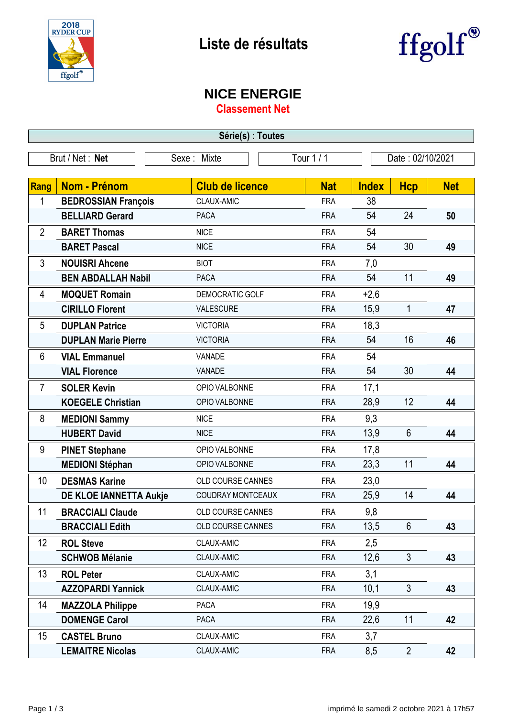



## **NICE ENERGIE**

**Classement Net**

| Série(s) : Toutes |                            |                        |                              |              |                |            |  |
|-------------------|----------------------------|------------------------|------------------------------|--------------|----------------|------------|--|
|                   | Brut / Net: Net            | Sexe: Mixte            | Tour 1/1<br>Date: 02/10/2021 |              |                |            |  |
|                   |                            |                        |                              |              |                |            |  |
| Rang              | <b>Nom - Prénom</b>        | <b>Club de licence</b> | <b>Nat</b>                   | <b>Index</b> | <b>Hcp</b>     | <b>Net</b> |  |
| 1                 | <b>BEDROSSIAN François</b> | CLAUX-AMIC             | <b>FRA</b>                   | 38           |                |            |  |
|                   | <b>BELLIARD Gerard</b>     | <b>PACA</b>            | <b>FRA</b>                   | 54           | 24             | 50         |  |
| 2                 | <b>BARET Thomas</b>        | <b>NICE</b>            | <b>FRA</b>                   | 54           |                |            |  |
|                   | <b>BARET Pascal</b>        | <b>NICE</b>            | <b>FRA</b>                   | 54           | 30             | 49         |  |
| 3                 | <b>NOUISRI Ahcene</b>      | <b>BIOT</b>            | <b>FRA</b>                   | 7,0          |                |            |  |
|                   | <b>BEN ABDALLAH Nabil</b>  | <b>PACA</b>            | <b>FRA</b>                   | 54           | 11             | 49         |  |
| 4                 | <b>MOQUET Romain</b>       | DEMOCRATIC GOLF        | <b>FRA</b>                   | $+2,6$       |                |            |  |
|                   | <b>CIRILLO Florent</b>     | VALESCURE              | <b>FRA</b>                   | 15,9         | 1              | 47         |  |
| 5                 | <b>DUPLAN Patrice</b>      | <b>VICTORIA</b>        | <b>FRA</b>                   | 18,3         |                |            |  |
|                   | <b>DUPLAN Marie Pierre</b> | <b>VICTORIA</b>        | <b>FRA</b>                   | 54           | 16             | 46         |  |
| 6                 | <b>VIAL Emmanuel</b>       | VANADE                 | <b>FRA</b>                   | 54           |                |            |  |
|                   | <b>VIAL Florence</b>       | VANADE                 | <b>FRA</b>                   | 54           | 30             | 44         |  |
| 7                 | <b>SOLER Kevin</b>         | OPIO VALBONNE          | <b>FRA</b>                   | 17,1         |                |            |  |
|                   | <b>KOEGELE Christian</b>   | OPIO VALBONNE          | <b>FRA</b>                   | 28,9         | 12             | 44         |  |
| 8                 | <b>MEDIONI Sammy</b>       | <b>NICE</b>            | <b>FRA</b>                   | 9,3          |                |            |  |
|                   | <b>HUBERT David</b>        | <b>NICE</b>            | <b>FRA</b>                   | 13,9         | 6              | 44         |  |
| 9                 | <b>PINET Stephane</b>      | OPIO VALBONNE          | <b>FRA</b>                   | 17,8         |                |            |  |
|                   | <b>MEDIONI Stéphan</b>     | OPIO VALBONNE          | <b>FRA</b>                   | 23,3         | 11             | 44         |  |
| 10                | <b>DESMAS Karine</b>       | OLD COURSE CANNES      | <b>FRA</b>                   | 23,0         |                |            |  |
|                   | DE KLOE IANNETTA Aukje     | COUDRAY MONTCEAUX      | <b>FRA</b>                   | 25,9         | 14             | 44         |  |
| 11                | <b>BRACCIALI Claude</b>    | OLD COURSE CANNES      | <b>FRA</b>                   | 9,8          |                |            |  |
|                   | <b>BRACCIALI Edith</b>     | OLD COURSE CANNES      | <b>FRA</b>                   | 13,5         | $6\phantom{1}$ | 43         |  |
| 12                | <b>ROL Steve</b>           | CLAUX-AMIC             | <b>FRA</b>                   | 2,5          |                |            |  |
|                   | <b>SCHWOB Mélanie</b>      | CLAUX-AMIC             | <b>FRA</b>                   | 12,6         | $\mathfrak{Z}$ | 43         |  |
| 13                | <b>ROL Peter</b>           | CLAUX-AMIC             | <b>FRA</b>                   | 3,1          |                |            |  |
|                   | <b>AZZOPARDI Yannick</b>   | CLAUX-AMIC             | <b>FRA</b>                   | 10,1         | $\mathfrak{Z}$ | 43         |  |
| 14                | <b>MAZZOLA Philippe</b>    | PACA                   | <b>FRA</b>                   | 19,9         |                |            |  |
|                   | <b>DOMENGE Carol</b>       | PACA                   | <b>FRA</b>                   | 22,6         | 11             | 42         |  |
| 15                | <b>CASTEL Bruno</b>        | CLAUX-AMIC             | <b>FRA</b>                   | 3,7          |                |            |  |
|                   | <b>LEMAITRE Nicolas</b>    | CLAUX-AMIC             | <b>FRA</b>                   | 8,5          | $\overline{2}$ | 42         |  |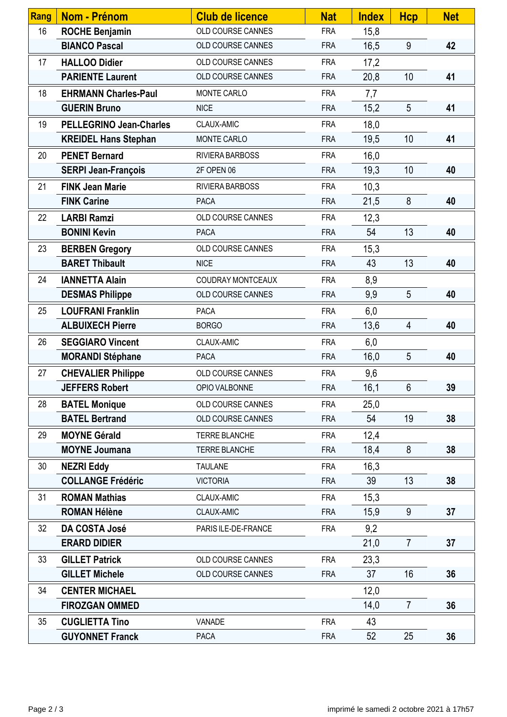| <b>Rang</b> | <b>Nom - Prénom</b>            | <b>Club de licence</b> | <b>Nat</b> | <b>Index</b> | <b>Hcp</b>     | <b>Net</b> |
|-------------|--------------------------------|------------------------|------------|--------------|----------------|------------|
| 16          | <b>ROCHE Benjamin</b>          | OLD COURSE CANNES      | <b>FRA</b> | 15,8         |                |            |
|             | <b>BIANCO Pascal</b>           | OLD COURSE CANNES      | <b>FRA</b> | 16,5         | 9              | 42         |
| 17          | <b>HALLOO Didier</b>           | OLD COURSE CANNES      | <b>FRA</b> | 17,2         |                |            |
|             | <b>PARIENTE Laurent</b>        | OLD COURSE CANNES      | <b>FRA</b> | 20,8         | 10             | 41         |
| 18          | <b>EHRMANN Charles-Paul</b>    | MONTE CARLO            | <b>FRA</b> | 7,7          |                |            |
|             | <b>GUERIN Bruno</b>            | <b>NICE</b>            | <b>FRA</b> | 15,2         | 5              | 41         |
| 19          | <b>PELLEGRINO Jean-Charles</b> | CLAUX-AMIC             | <b>FRA</b> | 18,0         |                |            |
|             | <b>KREIDEL Hans Stephan</b>    | MONTE CARLO            | <b>FRA</b> | 19,5         | 10             | 41         |
| 20          | <b>PENET Bernard</b>           | RIVIERA BARBOSS        | <b>FRA</b> | 16,0         |                |            |
|             | <b>SERPI Jean-François</b>     | 2F OPEN 06             | <b>FRA</b> | 19,3         | 10             | 40         |
| 21          | <b>FINK Jean Marie</b>         | RIVIERA BARBOSS        | <b>FRA</b> | 10,3         |                |            |
|             | <b>FINK Carine</b>             | <b>PACA</b>            | <b>FRA</b> | 21,5         | 8              | 40         |
| 22          | <b>LARBI Ramzi</b>             | OLD COURSE CANNES      | <b>FRA</b> | 12,3         |                |            |
|             | <b>BONINI Kevin</b>            | <b>PACA</b>            | <b>FRA</b> | 54           | 13             | 40         |
| 23          | <b>BERBEN Gregory</b>          | OLD COURSE CANNES      | <b>FRA</b> | 15,3         |                |            |
|             | <b>BARET Thibault</b>          | <b>NICE</b>            | <b>FRA</b> | 43           | 13             | 40         |
| 24          | <b>IANNETTA Alain</b>          | COUDRAY MONTCEAUX      | <b>FRA</b> | 8,9          |                |            |
|             | <b>DESMAS Philippe</b>         | OLD COURSE CANNES      | <b>FRA</b> | 9,9          | 5              | 40         |
| 25          | <b>LOUFRANI Franklin</b>       | <b>PACA</b>            | <b>FRA</b> | 6,0          |                |            |
|             | <b>ALBUIXECH Pierre</b>        | <b>BORGO</b>           | <b>FRA</b> | 13,6         | 4              | 40         |
| 26          | <b>SEGGIARO Vincent</b>        | CLAUX-AMIC             | <b>FRA</b> | 6,0          |                |            |
|             | <b>MORANDI Stéphane</b>        | <b>PACA</b>            | <b>FRA</b> | 16,0         | 5              | 40         |
| 27          | <b>CHEVALIER Philippe</b>      | OLD COURSE CANNES      | <b>FRA</b> | 9,6          |                |            |
|             | <b>JEFFERS Robert</b>          | OPIO VALBONNE          | <b>FRA</b> | 16,1         | $6\phantom{1}$ | 39         |
| 28          | <b>BATEL Monique</b>           | OLD COURSE CANNES      | <b>FRA</b> | 25,0         |                |            |
|             | <b>BATEL Bertrand</b>          | OLD COURSE CANNES      | <b>FRA</b> | 54           | 19             | 38         |
| 29          | <b>MOYNE Gérald</b>            | <b>TERRE BLANCHE</b>   | <b>FRA</b> | 12,4         |                |            |
|             | <b>MOYNE Joumana</b>           | <b>TERRE BLANCHE</b>   | <b>FRA</b> | 18,4         | 8              | 38         |
| 30          | <b>NEZRI Eddy</b>              | <b>TAULANE</b>         | <b>FRA</b> | 16,3         |                |            |
|             | <b>COLLANGE Frédéric</b>       | <b>VICTORIA</b>        | <b>FRA</b> | 39           | 13             | 38         |
| 31          | <b>ROMAN Mathias</b>           | CLAUX-AMIC             | <b>FRA</b> | 15,3         |                |            |
|             | <b>ROMAN Hélène</b>            | CLAUX-AMIC             | <b>FRA</b> | 15,9         | 9              | 37         |
| 32          | DA COSTA José                  | PARIS ILE-DE-FRANCE    | <b>FRA</b> | 9,2          |                |            |
|             | <b>ERARD DIDIER</b>            |                        |            | 21,0         | $\overline{7}$ | 37         |
| 33          | <b>GILLET Patrick</b>          | OLD COURSE CANNES      | <b>FRA</b> | 23,3         |                |            |
|             | <b>GILLET Michele</b>          | OLD COURSE CANNES      | <b>FRA</b> | 37           | 16             | 36         |
| 34          | <b>CENTER MICHAEL</b>          |                        |            | 12,0         |                |            |
|             | <b>FIROZGAN OMMED</b>          |                        |            | 14,0         | $\overline{7}$ | 36         |
| 35          | <b>CUGLIETTA Tino</b>          | VANADE                 | <b>FRA</b> | 43           |                |            |
|             | <b>GUYONNET Franck</b>         | <b>PACA</b>            | <b>FRA</b> | 52           | 25             | 36         |